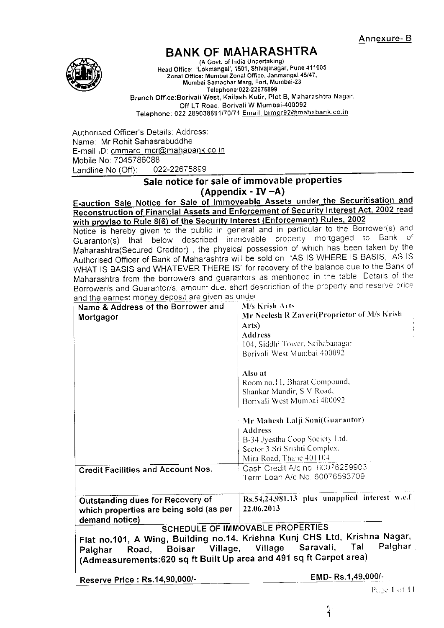

# BANK OF MAHARASHTRA

(A Govt. of India Undertaking) Head Office: 'Lokmangal', 1501, Shivaiinagar, Pune <sup>411005</sup> zonat Office: Munrbai Zonal Office, Janmangal 45/47, Mumbai Samachar Marg, Fort, Mumbai-23 Teleohone:022'22675899 Branch Office: Borivali West, Kailash Kutir, Plot B, Maharashtra Nagar, Off LT Road, Borivali W Mumbai-400092 Telephone: 022-289038691/70/71 Email brmgr92@mahabank.co.in

Authorised Officer's Details: Address: Name: Mr Rohit Sahasrabuddhe E-mail ID: cmmarc\_mcr@mahabank.co.in Mobile No: 7045786088<br>Landline No (Off): 022-22675899 Landline No  $(Off)$ :

# Sale notice for sale of immovable properties<br>(Appendix - IV -A)

E-auction Sale Notice for Sale of Immoveable Assets under the Securitisation and Reconstruction of Financial Assets and Enforcement of Security Interest Act, 2002 read

Borrower/s and Guarantor/s, amount due, short description of the property and reserve price with proviso to Rule 8(6) of the Security Interest (Enforcement) Rules, 2002<br>Notice is hereby given to the public in general and in particular to the Borrower(s) and Guarantor(s) that below described immovable property mortgaged to Bank of Maharashtra(Secured Creditor), the physical possession of which has been taken by the Authorised officer of Bank of Maharashtra will be sold on 'AS lS WHERE lS BASIS, AS lS WHAT IS BASIS and WHATEVER THERE IS" for recovery of the balance due to the Bank of Maharashtra from the borrowers and guarantors as mentioned in the table. Details of the

| and the earnest money deposit are given as under:<br>Name & Address of the Borrower and | M/s Krish Arts                                                            |  |  |  |  |
|-----------------------------------------------------------------------------------------|---------------------------------------------------------------------------|--|--|--|--|
|                                                                                         | Mr Neelesh R Zaveri(Proprietor of M/s Krish                               |  |  |  |  |
| Mortgagor                                                                               | Arts)                                                                     |  |  |  |  |
|                                                                                         | <b>Address</b>                                                            |  |  |  |  |
|                                                                                         | 104, Siddhi Tower, Saibabanagar                                           |  |  |  |  |
|                                                                                         | Borivali West Mumbai 400092                                               |  |  |  |  |
|                                                                                         |                                                                           |  |  |  |  |
|                                                                                         | Also at                                                                   |  |  |  |  |
|                                                                                         | Room no.11, Bharat Compound,                                              |  |  |  |  |
|                                                                                         | Shankar Mandir, S V Road,<br>÷                                            |  |  |  |  |
|                                                                                         | Borivali West Mumbai 400092                                               |  |  |  |  |
|                                                                                         |                                                                           |  |  |  |  |
|                                                                                         | - Mr Mahesh Lalji Soni(Guarantor)                                         |  |  |  |  |
|                                                                                         | <b>Address</b>                                                            |  |  |  |  |
|                                                                                         | B-34 Jyestha Coop Society Ltd.                                            |  |  |  |  |
|                                                                                         | Sector 3 Sri Srishti Complex.                                             |  |  |  |  |
|                                                                                         | Mira Road, Thane 401104                                                   |  |  |  |  |
|                                                                                         | Cash Credit A/c no. 60076259903                                           |  |  |  |  |
| <b>Credit Facilities and Account Nos.</b>                                               | Term Loan A/c No. 60076593709                                             |  |  |  |  |
|                                                                                         |                                                                           |  |  |  |  |
| Outstanding dues for Recovery of                                                        | Rs.54,24,981.13 plus unapplied interest w.e.f                             |  |  |  |  |
|                                                                                         | 22.06.2013                                                                |  |  |  |  |
| which properties are being sold (as per                                                 |                                                                           |  |  |  |  |
| demand notice)                                                                          | SCHEDULE OF IMMOVABLE PROPERTIES                                          |  |  |  |  |
|                                                                                         |                                                                           |  |  |  |  |
|                                                                                         | Flat no.101, A Wing, Building no.14, Krishna Kunj CHS Ltd, Krishna Nagar, |  |  |  |  |
| Village,<br><b>Boisar</b><br>Road,<br>Palghar                                           | Palghar<br>Tal<br>Saravali,<br>Village                                    |  |  |  |  |
| (Admeasurements:620 sq ft Built Up area and 491 sq ft Carpet area)                      |                                                                           |  |  |  |  |
|                                                                                         |                                                                           |  |  |  |  |
| Reserve Price : Rs.14,90,000/-                                                          | EMD-Rs.1,49,000/-                                                         |  |  |  |  |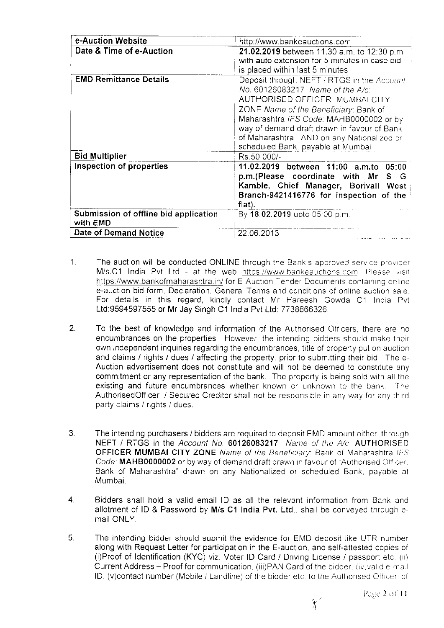| e-Auction Website                                 | http://www.bankeauctions.com                                                                                                                                                                                                                                                                                                              |  |  |  |
|---------------------------------------------------|-------------------------------------------------------------------------------------------------------------------------------------------------------------------------------------------------------------------------------------------------------------------------------------------------------------------------------------------|--|--|--|
| Date & Time of e-Auction                          | 21.02.2019 between 11.30 a.m. to 12:30 p.m.<br>with auto extension for 5 minutes in case bid<br>is placed within last 5 minutes                                                                                                                                                                                                           |  |  |  |
| <b>EMD Remittance Details</b>                     | Deposit through NEFT / RTGS in the Account<br>No. 60126083217 Name of the A/c:<br>AUTHORISED OFFICER, MUMBAI CITY<br>ZONE Name of the Beneficiary: Bank of<br>Maharashtra IFS Code: MAHB0000002 or by<br>way of demand draft drawn in favour of Bank<br>of Maharashtra -- AND on any Nationalized or<br>scheduled Bank. payable at Mumbai |  |  |  |
| <b>Bid Multiplier</b>                             | Rs.50,000/-                                                                                                                                                                                                                                                                                                                               |  |  |  |
| Inspection of properties                          | 11.02.2019 between 11:00 a.m.to<br>05:00<br>p.m. (Please coordinate with Mr<br>S G<br>Kamble, Chief Manager, Borivali West<br>Branch-9421416776 for inspection of the<br>flat).                                                                                                                                                           |  |  |  |
| Submission of offline bid application<br>with EMD | By 18.02.2019 upto 05:00 p.m.                                                                                                                                                                                                                                                                                                             |  |  |  |
| Date of Demand Notice                             | 22.06.2013                                                                                                                                                                                                                                                                                                                                |  |  |  |

- 1. The auction will be conducted ONLINE through the Bank's approved service provider M/s.C1 India Pvt Ltd - at the web https://www.bankeauctions.com Please visit https://www.bankofmaharasntra.in/ for E-Auction Tender Documents containing online e-auction bid form, Declaration, General Terms and conditions of online auction sale. For details in this regard, kindly contact Mr Hareesh Gowda C1 India Pvt Ltd:9594597555 or Mr Jay Singh C1 India Pvt Ltd: 7738866326.
- $2.$ To the best of knowledge and information of the Authorised Offlcers, there are no encumbrances on the properties However, the intending bidders should make their own independent inquiries regarding the encumbrances, title of property put on auction and claims / rights / dues / affecting the property, prior to submitting their bid. The e-Auction advertisement does not constitute and will not be deemed to constitute any commitment or any representation of the bank. The property is being sold with all the existing and future encumbrances whether known or unknown to the bank. The AuthorisedOfficer / Securec Creditor shall not be responsible in any way for any third party claims / rights / dues.
- The intending purchasers / bidders are required to deposit EMD amount either through NEFT / RTGS in the Account No. 60126083217 Name of the A/c AUTHORISED OFFICER MUMBAI CITY ZONE Name of the Beneficiary: Bank of Maharashtra IFS Code: MAHB0000002 or by way of demand draft drawn in favour of "Authorised Officer. Bank of Maharashtra" drawn on any Nationalized or scheduled Bank payable at Mumbai. J.
- 4. Bidders shall hold a valid email lD as all the relevant information from Bank and allotment of ID & Password by M/s C1 India Pvt. Ltd., shall be conveyed through  $e$ mail ONLY.
- 5. The intending bidder should submit the evidence for EMD deposit like UTR number along with Request Letter for participation in the E-auction, and self-attested copies of (i)Proof of ldentification (KYC) viz:. Voter lD Card / Driving License / passport etc (i) Current Address - Proof for communication, (iii)PAN Card of the bidder. (iv)valid e-mail ID. (v)contact number (Mobile / Landline) of the bidder etc. to the Authorised Officer of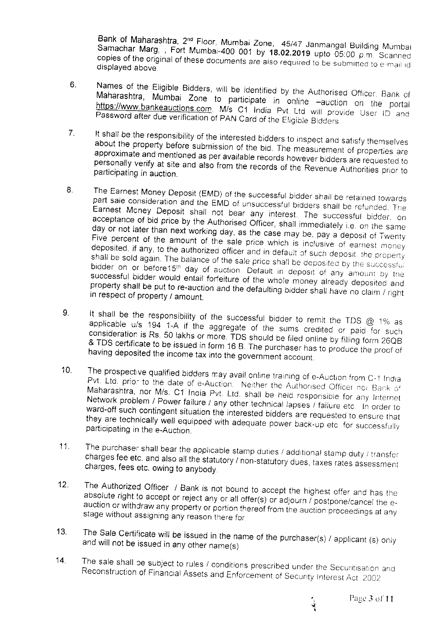Bank of Maharashtra, 2<sup>nd</sup> Floor, Mumbai Zone, 45/47 Janmangal Building Mumbai Samachar Marg, , Fort Mumbai-400 001 by 18.02.2019 upto 05:00 p.m. Scanned copies of the original of these documents are also required to be submitted to e-mail id displayed above.

- Names of the Eligible Bidders, will be identified by the Authorised Officer, Bank of 6. Maharashtra, Mumbai Zone to participate in online -auction on the portal https://www.bankeauctions.com. M/s C1 India Pvt Ltd will provide User ID and Password after due verification of PAN Card of the Eligible Bidders.
- It shall be the responsibility of the interested bidders to inspect and satisfy themselves  $7<sub>1</sub>$ about the property before submission of the bid. The measurement of properties are approximate and mentioned as per available records however bidders are requested to personally verify at site and also from the records of the Revenue Authorities prior to participating in auction.
- The Earnest Money Deposit (EMD) of the successful bidder shall be retained towards 8. part sale consideration and the EMD of unsuccessful bidders shall be refunded. The Earnest Money Deposit shall not bear any interest. The successful bidder, on acceptance of bid price by the Authorised Officer, shall immediately i.e. on the same day or not later than next working day, as the case may be, pay a deposit of Twenty Five percent of the amount of the sale price which is inclusive of earnest money deposited, if any, to the authorized officer and in default of such deposit, the property shall be sold again. The balance of the sale price shall be deposited by the successful bidder on or before15th day of auction. Default in deposit of any amount by the successful bidder would entail forfeiture of the whole money already deposited and property shall be put to re-auction and the defaulting bidder shall have no claim / right in respect of property / amount.
- It shall be the responsibility of the successful bidder to remit the TDS  $@$  1% as  $9<sub>1</sub>$ applicable u/s 194 1-A if the aggregate of the sums credited or paid for such consideration is Rs. 50 lakhs or more. TDS should be filed online by filling form 26QB & TDS certificate to be issued in form 16 B. The purchaser has to produce the proof of having deposited the income tax into the government account.
- $10<sub>1</sub>$ The prospective qualified bidders may avail online training of e-Auction from C-1 India Pvt. Ltd. prior to the date of e-Auction. Neither the Authorised Officer nor Bank of Maharashtra, nor M/s. C1 India Pvt. Ltd. shall be held responsible for any Internet Network problem / Power failure / any other technical lapses / failure etc. In order to ward-off such contingent situation the interested bidders are requested to ensure that they are technically well equipped with adequate power back-up etc. for successfully participating in the e-Auction.
- The purchaser shall bear the applicable stamp duties / additional stamp duty / transfer  $11.$ charges fee etc. and also all the statutory / non-statutory dues, taxes rates assessment charges, fees etc. owing to anybody.
- $12.$ The Authorized Officer / Bank is not bound to accept the highest offer and has the absolute right to accept or reject any or all offer(s) or adjourn / postpone/cancel the eauction or withdraw any property or portion thereof from the auction proceedings at any stage without assigning any reason there for.
- The Sale Certificate will be issued in the name of the purchaser(s) / applicant (s) only  $13.$ and will not be issued in any other name(s).
- $14.$ The sale shall be subject to rules / conditions prescribed under the Securitisation and Reconstruction of Financial Assets and Enforcement of Security Interest Act. 2002

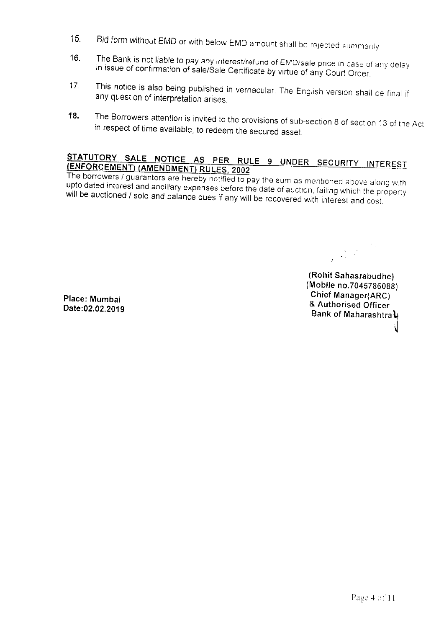- Bid form without EMD or with below EMD amount shall be rejected summarily  $15<sub>1</sub>$
- The Bank is not liable to pay any interest/refund of EMD/sale price in case of any delay  $16.$ in issue of confirmation of sale/Sale Certificate by virtue of any Court Order.
- This notice is also being published in vernacular. The English version shall be final if  $17<sub>1</sub>$ any question of interpretation arises.
- The Borrowers attention is invited to the provisions of sub-section 8 of section 13 of the Act  $18.$ in respect of time available, to redeem the secured asset.

## STATUTORY SALE NOTICE AS PER RULE 9 UNDER SECURITY INTEREST (ENFORCEMENT) (AMENDMENT) RULES, 2002

The borrowers / guarantors are hereby notified to pay the sum as mentioned above along with upto dated interest and ancillary expenses before the date of auction, failing which the property will be auctioned / sold and balance dues if any will be recovered with interest and cost.

 $\frac{1}{2}\left(\frac{1}{\sqrt{2}}\right)^{1/2}\frac{1}{\sqrt{2}}\,.$ 

(Rohit Sahasrabudhe) (Mobile no.7045786088) Chief Manager(ARC) & Authorised Officer Bank of Maharashtral

Place: Mumbai Date:02.02.2019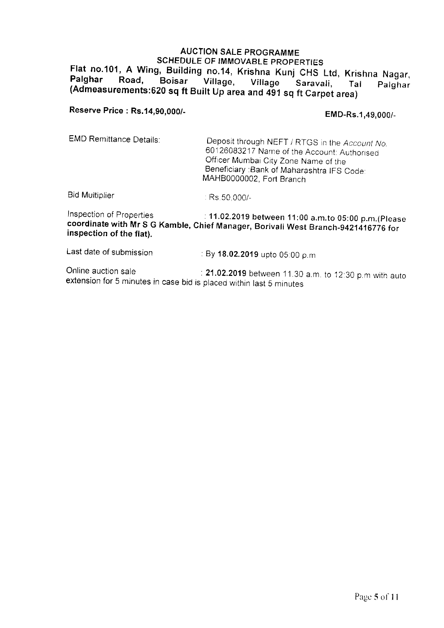## AUCTION SALE PROGRAMME SCHEDULE OF IMMOVABLE PROPERTIES Flat no.101, A Wing, Building no.14, Krishna Kunj CHS Ltd, Krishna Nagar,<br>Palghar Road, Boisar Village, Village Saravali, Tal Palghar (Admeasurements:620 sq ft Built Up area and 491 sq ft Carpet area)

Reserve Price : Rs.14,90,000/-<br>
EMD-Rs.1,49,000/-

EMD Remittance Details: Deposit through NEFT / RTGS in the Account No. 60126083217 Name of the Account: Authorised Officer Mumbai City Zone Name of the Beneficiary :Bank of Maharashtra IFS Code: MAHB0000002, Fort Branch

Bid Multiplier Rs.50,000/-

<sup>f</sup>nspection of Prope'rlies . 'l1.OZ.ZO1| between 11:tlo a.m.to 05:00 p.m.(please coordinate with Mr s G Kambre, chief rvranager, Borivari we:;t Branch-9 +zli'talia rcr inspection of the l'lat).

Last date of submission : By 18.02.2019 upto 05:00 p.m.

Online auction sale . . . 21.02.2019 between 11.30 a.m. to 12:30 p.m with auto extension for 5 minutes in case bid is placed within last 5 minutes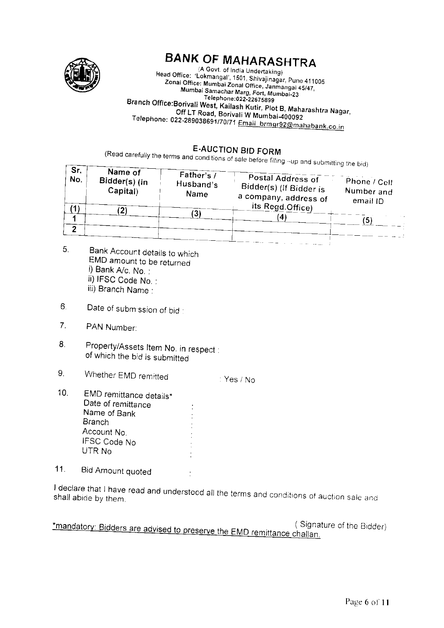

# **BANK OF MAHARASHTRA**

(A Govt. of India Undertaking) Head Office: 'Lokmangal', 1501, Shivajinagar, Pune 411005<br>Zonal Office: Mumbai Zonal Office, Janmangal 45/47,<br>Mumbai Samachar Marg, Fort, Mumbai-23 Telephone: 022-22675899 Branch Office:Borivali West, Kailash Kutir, Plot B, Maharashtra Nagar, Off LT Road, Borivali W Mumbai-400092 Telephone: 022-289038691/70/71 Email brmgr92@mahabank.co.in

## **E-AUCTION BID FORM**

(Read carefully the terms and cond tions of sale before filling -up and submitting the bid)

| Sr.<br>No. | Name of<br>Bidder(s) (in<br>Capital) | Father's $\bar{l}$<br>Husband's<br>Name | Postal Address of<br>Bidder(s) (If Bidder is<br>a company, address of<br>its Regd.Office) | Phone / Cell<br>Number and<br>email ID<br>5 |
|------------|--------------------------------------|-----------------------------------------|-------------------------------------------------------------------------------------------|---------------------------------------------|
|            |                                      |                                         |                                                                                           |                                             |

 $\div$  Yes / No

- 5. Bank Account details to which EMD amount to be returned i) Bank A/c, No. : ii) IFSC Code No. : iii) Branch Name :
- $6.$ Date of submission of bid:
- $7<sub>1</sub>$ PAN Number:
- Property/Assets Item No. in respect : 8. of which the bid is submitted
- $9<sub>1</sub>$ Whether EMD remitted
- $10<sub>1</sub>$ EMD remittance details\* Date of remittance Name of Bank **Branch** Account No. **IFSC Code No** UTR No
- $11.$ Bid Amount quoted

I declare that I have read and understood all the terms and conditions of auction sale and

(Signature of the Bidder) \*mandatory: Bidders are advised to preserve the EMD remittance challan.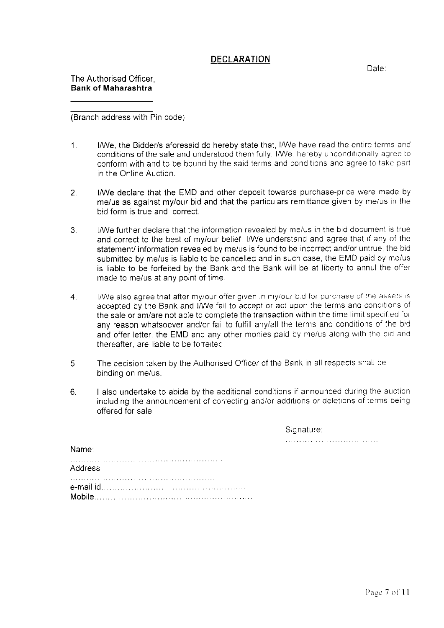#### DECLARATION

Date:

The Authorised Officer. Bank of Maharashtra

(Branch address with Pin code)

- 1. I/We, the Eidder/s aforesaid do hereby state that, I/We have read the entire terms and conditions of the sale and understood them fully. I/We, hereby unconditionally agree to conform with and to be bound by the said terms and conditions and agree to take part in the Online Auction.
- 2. I/We declare that the EMD and other deposit towards purchase-price were made by me/us as against my/our bid and that the particulars remittance given by me/us in the bid form is true and correct
- 3. I/We further declare that the information revealed by me/us in the bid document is true and correct to the best of my/our belief. I/We understand and agree that if any of the statement/ information revealed by me/us is found to be incorrect and/or untrue, the bid submitted by me/us is liable to be cancelled and in such case, the EMD paid by me/us is liable to be forfeited by the Bank and the Bank will be at liberty to annul the offer made to me/us at any point of time.
- 4. I/We also agree that after my/our offer given in my/our b d for purchase of the assets is accepted by the Bank and I/We fail to accept or act upon the terms and conditions of the sale or am/are not able to complete the transaction within the time limit specified for any reason whatsoever and/or fail to fulfill any/all the terms and conditions of the bid and offer letter, the EMD and any other monies paid by me/us along with the bid and thereafter, are liable to be forfeited.
- 5. The decision taken by the Authorised Officer of the Bank in all respects shall be binding on me/us.
- 6. I also undertake to abide by the additional conditions if announced during the auction including the announcement of correcting and/or additions or deletions of terms being offered for sale.

Signature: 

| .        |  |  |  |  |  |  |
|----------|--|--|--|--|--|--|
| Address: |  |  |  |  |  |  |
|          |  |  |  |  |  |  |

Name: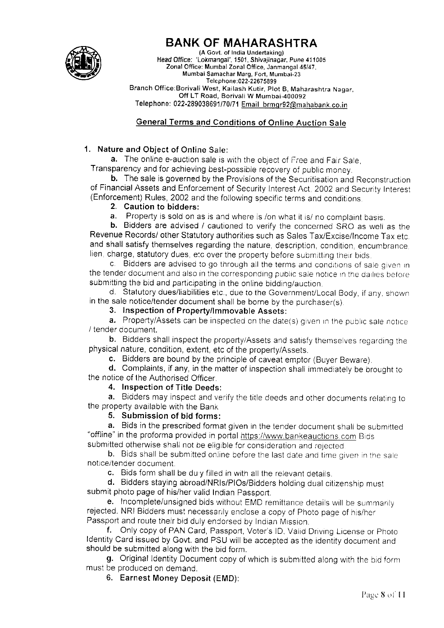

# BANK OF MAHARASHTRA

(A Govt. of India Undertaking) Head Office: 'Lokmanqal', 1501. Shivajinagar, Pune 411005 Zonal Office: Mumbai Zonal Office, Janmangal 45/47, Mumbai Samachar Marg, Fort, Mumbai-23 Telephone:022-22675899 Branch Office:Borivali West, Kailash Kutir, Plot B, Maharashtra Nagar,<br>Off LT Road, Borivali W Mumbai-400092 Telephone: 022-289038691/70/71 Email brmgr92@mahabank.co.in

#### **General Terms and Conditions of Online Auction Sale**

#### 1. Nature and Object of Online Sale:

a. The online e-auction sale is with the object of Free and Fair Sale, Transparency and for achieving best-possible recovery of public money.

b. The sale is governed by the Provisions of the Securitisation and Reconstruction of Financial Assets and Enforcement of Security Interest Act, 2002 and Security Interest (Enforcement) Rules, 2002 and the following specific terms and conditions.<br>
2. Caution to bidders:<br> **a.** Property is sold on as is and where is /on what it is/ no complaint basis.

b. Bidders are advised / cautioned to verify the concerned SRO as well as the Revenue Records/ other Statutory authorities such as Sales Tax/Excise/Income Tax etc. and shall satisfy themselves regarding the nature, description, condition, encumbrance, lien, charge, statutory dues, etc over the property before submitting their bids.

c. Bidders are advised to go through all the terms and conditions of sale given in the tender document and also in the corresponding public sale notice in the dailies before submitting the bid and participating in the online bidding/auction.

d. Statutory dues/liabilities etc., due to the Government/Local Body, if any. shown in the sale notice/tender document shall be borne by the purchaser(s).

3. Inspection of Property/lmmovable Assets:

 $a.$  Property/Assets can be inspected on the date(s) given in the public sale notice / tender document.

b. Bidders shall inspect the property/Assets and satisfy themselves regarding the physical nature, condition, extent, etc of the property/Assets.<br> **c.** Bidders are bound by the principle of caveat emptor (Buyer Beware).

d. Complaints, if any, in the matter of inspection shall immediately be brought to the notice of the Authorised Officer.

#### 4. Inspection of Title Deeds:

a. Bidders may inspect and verify the title deeds and other documents relating to the property available with the Bank.

#### 5. Submission of bid forms:

a. Bids in the prescribed format given in the tender document shall be submitted "offline" in the proforma provided in portal https://www.bankeauctions.com Bids submitted otherwise shall not be eligible for consideration and rejected.

b. Bids shall be submitted online before the last date and time given in the sale

notice/tender document.

c. Bids form shall be du y filled in with all the relevant details.<br>d. Bidders staying abroad/NRIs/PlOs/Bidders holding dual citizenship must submit photo page of his/her valid Indian Passport.

e. Incomplete/unsigned bids without EMD remittance details will be summarily rejected. NRI Bidders must necessarily enclose a copy of Photo page of his/her<br>Passport and route their bid duly endorsed by Indian Mission.

f. Only copy of PAN Card, Passport, Voter's ID, Valid Driving License or Photo Identity Card issued by Govt. and PSU will be accepted as the identity document and should be submitted along with the bid form.

g. Original Identity Document copy of which is submitted along with the bid form must be produced on demand.

6. Earrest Money Deposit (EMD):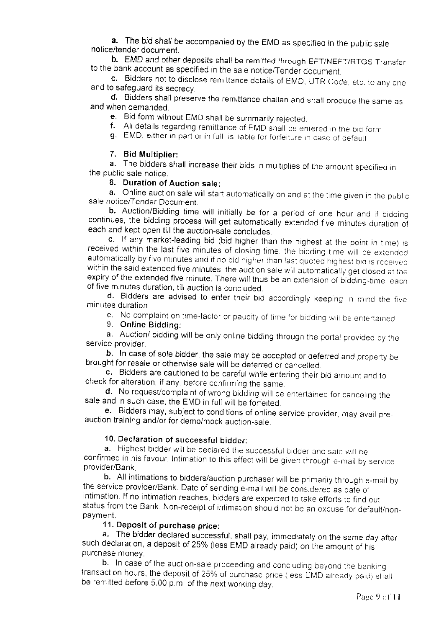a. The bid shall be accompanied by the EMD as specified in the public sale notice/tender document.

b. EMD and other deposits shall be remitted through EFT/NEFT/RTGS Transfer to the bank account as specified in the sale notice/Tender document.

c. Bidders not to disclose remittance details of EMD, UTR Code, etc. to any one and to safequard its secrecy.

and when demanded d. Bidders shall preserve the remittance challan and shall produce the same as when demanded.<br>when demanded.<br>e. Bid form without EMD shall be summarily rejected.

f. All details regarding remittance of EMD shall be entered in the bid form g. EMD, either in part or in full, is liable for forfeiture in case of default

#### 7. Bid Multiplier:

a. The bidders shall increase their bids in multiplies of the amount specified in the public sale notice.

#### 8. Duration of Auction sale:

a. Online auction sale will start automatically on and at the time given in the public sale notice/Tender Document.<br>b. Auction/Bidding time will initially be for a period of one hour and if bidding

be for a perception of continues, the bidding process will get automatically extended five minutes duration of each and kept open till the auction-sale concludes.<br> **c.** If any market-leading bid (bid higher than the highes

received within the last five minutes of closing time, the bidding time will be extended automatically by five minutes and if no bid higher than last quoted highest bid is received<br>within the said extended five minutes, the auction sale will automatically get closed at the expiry of the extended five minute. There will thus be an extension of bidding-time, each of five minutes duration, till auction is concluded.

minutes duration. d. Bidders are advised to enter their bid accordingly keeping in mind the five

e. No complaint on time-factor or paucity of time for bidding will be ententained 9. Online Bidding:

a. Auction/ bidding will be only online bidding through the portal provided by the service provider.

b. In case of sole bidder, the sale may be accepted or deferred and property be brought for resale or otherwise sale will be deferred or cancelled.

c. Bidders are cautioned to be careful while entering their bid amount and to check for alteration, if any, before confirming the same.

sale and in such case, the EMD in full will be forfeited. d. No request/complaint of wrong bidding will be entertained for canceling the<br>sale and in such case, the EMD in full will be forfeited.

auction training and/or for demo/mock auction-sale. **e.** Bidders may, subject to conditions of online service provider, may avail pre-

10. Declaration of successful bidder:<br>a. Highest bidder will be declared the successful bidder and sale will be confirmed in his favour. Intimation to this effect will be given through e-mail by service provider/Bank.

b. All intimations to bidders/auction purchaser will be primarily through e-mail by the service provider/Bank. Date of sending e-mail will be considered as date of intimation. If no intimation reaches, bidders are expected status from the Bank. Non-receipt of intimation should not be an excuse for default/non-<br>payment.

#### 11. Deposit of purchase price:

a. The bidder declared successful, shall pay, immediately on the same day after such declaration, a deposit of 25% (less EMD already paid) on the amount of his

purchase money.<br>b. In case of the auction-sale proceeding and concluding beyond the banking transaction-hours, the deposit of 25% of purchase price (less EMD already paid) shall be remitted before 5.00 p.m. of the next working day.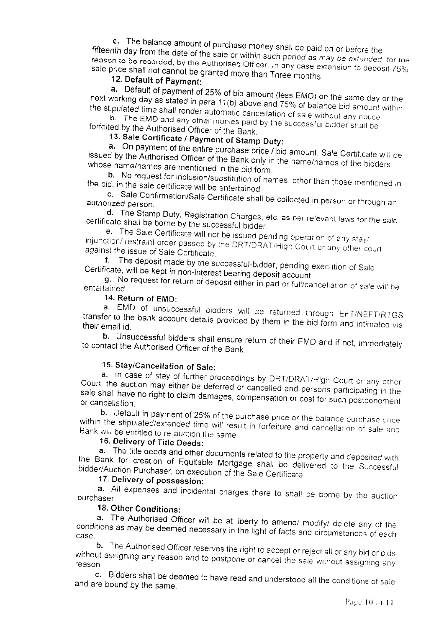c. The balance amount of purchase money shall be paid on or before the fifteenth day from the date of the sale or within such period as may be extended, for the reason to be recorded, by the Authorised Officer. In any case extension to deposit 75% sale price shall not cannot be granted more than Three months

#### 12. Default of Payment:

a. Default of payment of 25% of bid amount (less EMD) on the same day or the next working day as stated in para 11(b) above and 75% of balance bid amount within the stipulated time shall render automatic cancellation of sale without any notice

b. The EMD and any other monies paid by the successful bidder shall be forfeited by the Authorised Officer of the Bank.

# 13. Sale Certificate / Payment of Stamp Duty:

a. On payment of the entire purchase price / bid amount, Sale Certificate will be issued by the Authorised Officer of the Bank only in the name/names of the bidders whose name/names are mentioned in the bid form.

b. No request for inclusion/substitution of names, other than those mentioned in the bid, in the sale certificate will be entertained.

c. Sale Confirmation/Sale Certificate shall be collected in person or through an authorized person.

d. The Stamp Duty, Registration Charges, etc. as per relevant laws for the sale certificate shall be borne by the successful bidder.

e. The Sale Certificate will not be issued pending operation of any stay/ injunction/ restraint order passed by the DRT/DRAT/High Court or any other court against the issue of Sale Certificate.

f. The deposit made by the successful-bidder, pending execution of Sale Certificate, will be kept in non-interest bearing deposit account.

g. No request for return of deposit either in part or full/cancellation of sale will be entertained.

#### 14. Return of EMD:

a. EMD of unsuccessful bidders will be returned through EFT/NEFT/RTGS transfer to the bank account details provided by them in the bid form and intimated via their email id.

b. Unsuccessful bidders shall ensure return of their EMD and if not, immediately to contact the Authorised Officer of the Bank.

#### 15. Stay/Cancellation of Sale:

a. In case of stay of further proceedings by DRT/DRAT/High Court or any other Court, the auction may either be deferred or cancelled and persons participating in the sale shall have no right to claim damages, compensation or cost for such postponement or cancellation.

b. Default in payment of 25% of the purchase price or the balance purchase price within the stipulated/extended time will result in forfeiture and cancellation of sale and Bank will be entitled to re-auction the same.

#### 16. Delivery of Title Deeds:

a. The title deeds and other documents related to the property and deposited with the Bank for creation of Equitable Mortgage shall be delivered to the Successful bidder/Auction Purchaser, on execution of the Sale Certificate

### 17. Delivery of possession:

a. All expenses and incidental charges there to shall be borne by the auction purchaser

#### 18. Other Conditions:

a. The Authorised Officer will be at liberty to amend/ modify/ delete any of the conditions as may be deemed necessary in the light of facts and circumstances of each

b. The Authorised Officer reserves the right to accept or reject all or any bid or bids without assigning any reason and to postpone or cancel the sale without assigning any reason

c. Bidders shall be deemed to have read and understood all the conditions of sale and are bound by the same.